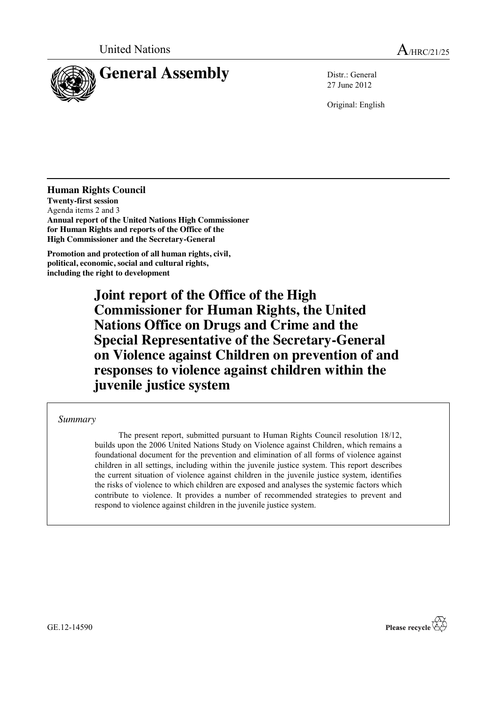

27 June 2012

Original: English

**Human Rights Council Twenty-first session** Agenda items 2 and 3 **Annual report of the United Nations High Commissioner for Human Rights and reports of the Office of the High Commissioner and the Secretary-General**

**Promotion and protection of all human rights, civil, political, economic, social and cultural rights, including the right to development**

> **Joint report of the Office of the High Commissioner for Human Rights, the United Nations Office on Drugs and Crime and the Special Representative of the Secretary-General on Violence against Children on prevention of and responses to violence against children within the juvenile justice system**

*Summary*

The present report, submitted pursuant to Human Rights Council resolution 18/12, builds upon the 2006 United Nations Study on Violence against Children, which remains a foundational document for the prevention and elimination of all forms of violence against children in all settings, including within the juvenile justice system. This report describes the current situation of violence against children in the juvenile justice system, identifies the risks of violence to which children are exposed and analyses the systemic factors which contribute to violence. It provides a number of recommended strategies to prevent and respond to violence against children in the juvenile justice system.

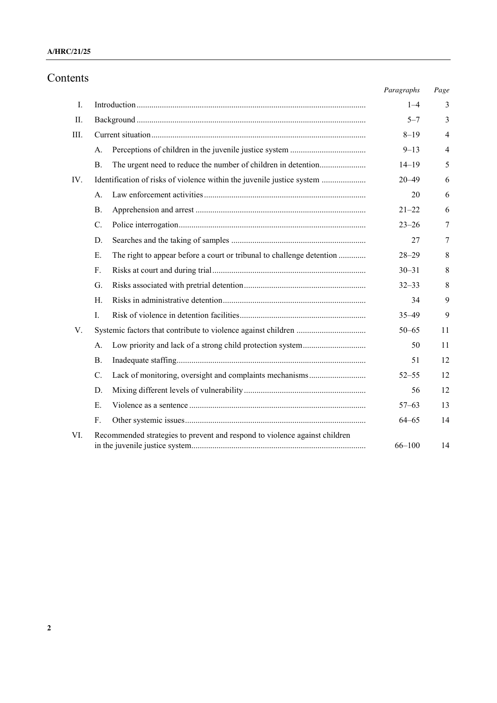### **A/HRC/21/25**

# Contents

|      |                                                                                      | Paragraphs | Page           |
|------|--------------------------------------------------------------------------------------|------------|----------------|
| I.   |                                                                                      | $1 - 4$    | 3              |
| П.   |                                                                                      | $5 - 7$    | 3              |
| III. |                                                                                      | $8 - 19$   | $\overline{4}$ |
|      | А.                                                                                   | $9 - 13$   | $\overline{4}$ |
|      | The urgent need to reduce the number of children in detention<br>B <sub>1</sub>      | $14 - 19$  | 5              |
| IV.  | Identification of risks of violence within the juvenile justice system               | $20 - 49$  | 6              |
|      | A.                                                                                   | 20         | 6              |
|      | <b>B</b> .                                                                           | $21 - 22$  | 6              |
|      | $C$ .                                                                                | $23 - 26$  | 7              |
|      | D.                                                                                   | 27         | 7              |
|      | $E_{\rm c}$<br>The right to appear before a court or tribunal to challenge detention | $28 - 29$  | 8              |
|      | $F_{\cdot}$                                                                          | $30 - 31$  | 8              |
|      | G.                                                                                   | $32 - 33$  | 8              |
|      | $H_{\cdot}$                                                                          | 34         | 9              |
|      | $\mathbf{I}$ .                                                                       | $35 - 49$  | 9              |
| V.   |                                                                                      | $50 - 65$  | 11             |
|      | А.                                                                                   | 50         | 11             |
|      | <b>B</b> .                                                                           | 51         | 12             |
|      | C.<br>Lack of monitoring, oversight and complaints mechanisms                        | $52 - 55$  | 12             |
|      | D.                                                                                   | 56         | 12             |
|      | $E_{\rm{r}}$                                                                         | $57 - 63$  | 13             |
|      | F.                                                                                   | $64 - 65$  | 14             |
| VI.  | Recommended strategies to prevent and respond to violence against children           | $66 - 100$ | 14             |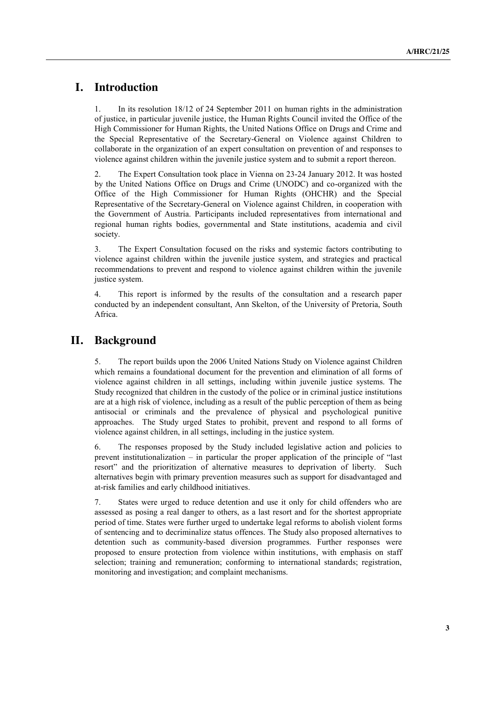# **I. Introduction**

1. In its resolution 18/12 of 24 September 2011 on human rights in the administration of justice, in particular juvenile justice, the Human Rights Council invited the Office of the High Commissioner for Human Rights, the United Nations Office on Drugs and Crime and the Special Representative of the Secretary-General on Violence against Children to collaborate in the organization of an expert consultation on prevention of and responses to violence against children within the juvenile justice system and to submit a report thereon.

2. The Expert Consultation took place in Vienna on 23-24 January 2012. It was hosted by the United Nations Office on Drugs and Crime (UNODC) and co-organized with the Office of the High Commissioner for Human Rights (OHCHR) and the Special Representative of the Secretary-General on Violence against Children, in cooperation with the Government of Austria. Participants included representatives from international and regional human rights bodies, governmental and State institutions, academia and civil society.

3. The Expert Consultation focused on the risks and systemic factors contributing to violence against children within the juvenile justice system, and strategies and practical recommendations to prevent and respond to violence against children within the juvenile justice system.

4. This report is informed by the results of the consultation and a research paper conducted by an independent consultant, Ann Skelton, of the University of Pretoria, South Africa.

# **II. Background**

5. The report builds upon the 2006 United Nations Study on Violence against Children which remains a foundational document for the prevention and elimination of all forms of violence against children in all settings, including within juvenile justice systems. The Study recognized that children in the custody of the police or in criminal justice institutions are at a high risk of violence, including as a result of the public perception of them as being antisocial or criminals and the prevalence of physical and psychological punitive approaches. The Study urged States to prohibit, prevent and respond to all forms of violence against children, in all settings, including in the justice system.

6. The responses proposed by the Study included legislative action and policies to prevent institutionalization – in particular the proper application of the principle of "last resort" and the prioritization of alternative measures to deprivation of liberty. Such alternatives begin with primary prevention measures such as support for disadvantaged and at-risk families and early childhood initiatives.

7. States were urged to reduce detention and use it only for child offenders who are assessed as posing a real danger to others, as a last resort and for the shortest appropriate period of time. States were further urged to undertake legal reforms to abolish violent forms of sentencing and to decriminalize status offences. The Study also proposed alternatives to detention such as community-based diversion programmes. Further responses were proposed to ensure protection from violence within institutions, with emphasis on staff selection; training and remuneration; conforming to international standards; registration, monitoring and investigation; and complaint mechanisms.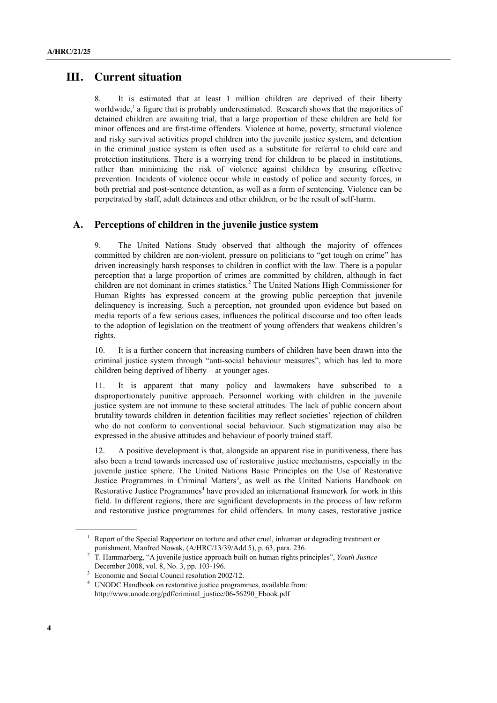## **III. Current situation**

8. It is estimated that at least 1 million children are deprived of their liberty worldwide,<sup>1</sup> a figure that is probably underestimated. Research shows that the majorities of detained children are awaiting trial, that a large proportion of these children are held for minor offences and are first-time offenders. Violence at home, poverty, structural violence and risky survival activities propel children into the juvenile justice system, and detention in the criminal justice system is often used as a substitute for referral to child care and protection institutions. There is a worrying trend for children to be placed in institutions, rather than minimizing the risk of violence against children by ensuring effective prevention. Incidents of violence occur while in custody of police and security forces, in both pretrial and post-sentence detention, as well as a form of sentencing. Violence can be perpetrated by staff, adult detainees and other children, or be the result of self-harm.

### **A. Perceptions of children in the juvenile justice system**

9. The United Nations Study observed that although the majority of offences committed by children are non-violent, pressure on politicians to "get tough on crime" has driven increasingly harsh responses to children in conflict with the law. There is a popular perception that a large proportion of crimes are committed by children, although in fact children are not dominant in crimes statistics.<sup>2</sup> The United Nations High Commissioner for Human Rights has expressed concern at the growing public perception that juvenile delinquency is increasing. Such a perception, not grounded upon evidence but based on media reports of a few serious cases, influences the political discourse and too often leads to the adoption of legislation on the treatment of young offenders that weakens children's rights.

10. It is a further concern that increasing numbers of children have been drawn into the criminal justice system through "anti-social behaviour measures", which has led to more children being deprived of liberty – at younger ages.

11. It is apparent that many policy and lawmakers have subscribed to a disproportionately punitive approach. Personnel working with children in the juvenile justice system are not immune to these societal attitudes. The lack of public concern about brutality towards children in detention facilities may reflect societies' rejection of children who do not conform to conventional social behaviour. Such stigmatization may also be expressed in the abusive attitudes and behaviour of poorly trained staff.

12. A positive development is that, alongside an apparent rise in punitiveness, there has also been a trend towards increased use of restorative justice mechanisms, especially in the juvenile justice sphere. The United Nations Basic Principles on the Use of Restorative Justice Programmes in Criminal Matters<sup>3</sup>, as well as the United Nations Handbook on Restorative Justice Programmes<sup>4</sup> have provided an international framework for work in this field. In different regions, there are significant developments in the process of law reform and restorative justice programmes for child offenders. In many cases, restorative justice

 $1$  Report of the Special Rapporteur on torture and other cruel, inhuman or degrading treatment or punishment, Manfred Nowak, (A/HRC/13/39/Add.5), p. 63, para. 236.

<sup>2</sup> T. Hammarberg, "A juvenile justice approach built on human rights principles", *Youth Justice*  December 2008, vol. 8, No. 3, pp. 103-196.

<sup>&</sup>lt;sup>3</sup> Economic and Social Council resolution 2002/12.

<sup>4</sup> UNODC Handbook on restorative justice programmes, available from: http://www.unodc.org/pdf/criminal\_justice/06-56290\_Ebook.pdf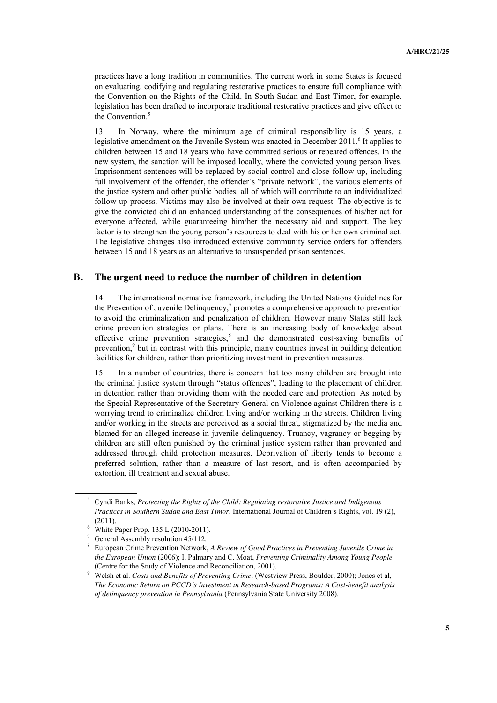practices have a long tradition in communities. The current work in some States is focused on evaluating, codifying and regulating restorative practices to ensure full compliance with the Convention on the Rights of the Child. In South Sudan and East Timor, for example, legislation has been drafted to incorporate traditional restorative practices and give effect to the Convention.<sup>5</sup>

13. In Norway, where the minimum age of criminal responsibility is 15 years, a legislative amendment on the Juvenile System was enacted in December 2011. It applies to children between 15 and 18 years who have committed serious or repeated offences. In the new system, the sanction will be imposed locally, where the convicted young person lives. Imprisonment sentences will be replaced by social control and close follow-up, including full involvement of the offender, the offender's "private network", the various elements of the justice system and other public bodies, all of which will contribute to an individualized follow-up process. Victims may also be involved at their own request. The objective is to give the convicted child an enhanced understanding of the consequences of his/her act for everyone affected, while guaranteeing him/her the necessary aid and support. The key factor is to strengthen the young person's resources to deal with his or her own criminal act. The legislative changes also introduced extensive community service orders for offenders between 15 and 18 years as an alternative to unsuspended prison sentences.

#### **B. The urgent need to reduce the number of children in detention**

14. The international normative framework, including the United Nations Guidelines for the Prevention of Juvenile Delinquency, <sup>7</sup> promotes a comprehensive approach to prevention to avoid the criminalization and penalization of children. However many States still lack crime prevention strategies or plans. There is an increasing body of knowledge about effective crime prevention strategies,<sup>8</sup> and the demonstrated cost-saving benefits of prevention,<sup>9</sup> but in contrast with this principle, many countries invest in building detention facilities for children, rather than prioritizing investment in prevention measures.

15. In a number of countries, there is concern that too many children are brought into the criminal justice system through "status offences", leading to the placement of children in detention rather than providing them with the needed care and protection. As noted by the Special Representative of the Secretary-General on Violence against Children there is a worrying trend to criminalize children living and/or working in the streets. Children living and/or working in the streets are perceived as a social threat, stigmatized by the media and blamed for an alleged increase in juvenile delinquency. Truancy, vagrancy or begging by children are still often punished by the criminal justice system rather than prevented and addressed through child protection measures. Deprivation of liberty tends to become a preferred solution, rather than a measure of last resort, and is often accompanied by extortion, ill treatment and sexual abuse.

<sup>5</sup> Cyndi Banks, *Protecting the Rights of the Child: Regulating restorative Justice and Indigenous Practices in Southern Sudan and East Timor*, International Journal of Children's Rights, vol. 19 (2), (2011).

<sup>6</sup> White Paper Prop. 135 L (2010-2011).

<sup>&</sup>lt;sup>7</sup> General Assembly resolution 45/112.

<sup>8</sup> European Crime Prevention Network, *A Review of Good Practices in Preventing Juvenile Crime in the European Union* (2006); I. Palmary and C. Moat, *Preventing Criminality Among Young People*  (Centre for the Study of Violence and Reconciliation, 2001).

<sup>9</sup> Welsh et al. *Costs and Benefits of Preventing Crime,* (Westview Press, Boulder, 2000); Jones et al, *The Economic Return on PCCD's Investment in Research-based Programs: A Cost-benefit analysis of delinquency prevention in Pennsylvania* (Pennsylvania State University 2008).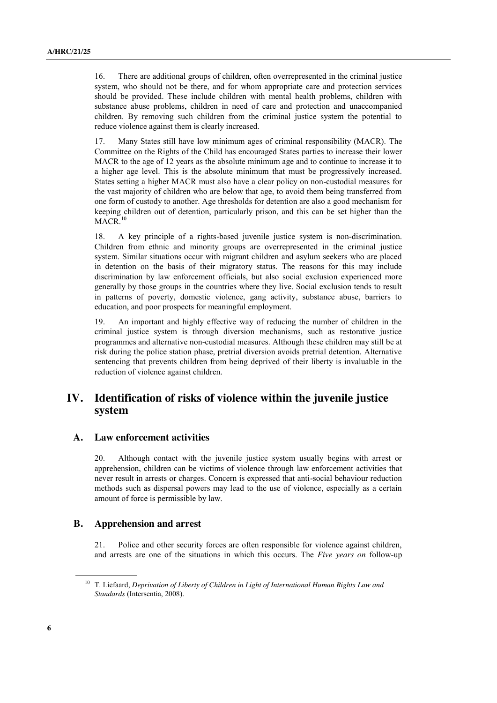16. There are additional groups of children, often overrepresented in the criminal justice system, who should not be there, and for whom appropriate care and protection services should be provided. These include children with mental health problems, children with substance abuse problems, children in need of care and protection and unaccompanied children. By removing such children from the criminal justice system the potential to reduce violence against them is clearly increased.

17. Many States still have low minimum ages of criminal responsibility (MACR). The Committee on the Rights of the Child has encouraged States parties to increase their lower MACR to the age of 12 years as the absolute minimum age and to continue to increase it to a higher age level. This is the absolute minimum that must be progressively increased. States setting a higher MACR must also have a clear policy on non-custodial measures for the vast majority of children who are below that age, to avoid them being transferred from one form of custody to another. Age thresholds for detention are also a good mechanism for keeping children out of detention, particularly prison, and this can be set higher than the MACR. 10

18. A key principle of a rights-based juvenile justice system is non-discrimination. Children from ethnic and minority groups are overrepresented in the criminal justice system. Similar situations occur with migrant children and asylum seekers who are placed in detention on the basis of their migratory status. The reasons for this may include discrimination by law enforcement officials, but also social exclusion experienced more generally by those groups in the countries where they live. Social exclusion tends to result in patterns of poverty, domestic violence, gang activity, substance abuse, barriers to education, and poor prospects for meaningful employment.

19. An important and highly effective way of reducing the number of children in the criminal justice system is through diversion mechanisms, such as restorative justice programmes and alternative non-custodial measures. Although these children may still be at risk during the police station phase, pretrial diversion avoids pretrial detention. Alternative sentencing that prevents children from being deprived of their liberty is invaluable in the reduction of violence against children.

# **IV. Identification of risks of violence within the juvenile justice system**

### **A. Law enforcement activities**

20. Although contact with the juvenile justice system usually begins with arrest or apprehension, children can be victims of violence through law enforcement activities that never result in arrests or charges. Concern is expressed that anti-social behaviour reduction methods such as dispersal powers may lead to the use of violence, especially as a certain amount of force is permissible by law.

#### **B. Apprehension and arrest**

21. Police and other security forces are often responsible for violence against children, and arrests are one of the situations in which this occurs. The *Five years on* follow-up

<sup>10</sup> T. Liefaard, *Deprivation of Liberty of Children in Light of International Human Rights Law and Standards* (Intersentia, 2008).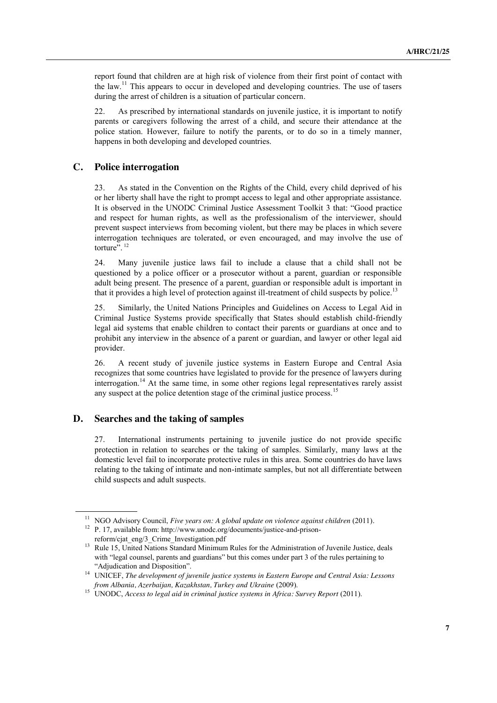report found that children are at high risk of violence from their first point of contact with the law.<sup>11</sup> This appears to occur in developed and developing countries. The use of tasers during the arrest of children is a situation of particular concern.

22. As prescribed by international standards on juvenile justice, it is important to notify parents or caregivers following the arrest of a child, and secure their attendance at the police station. However, failure to notify the parents, or to do so in a timely manner, happens in both developing and developed countries.

#### **C. Police interrogation**

23. As stated in the Convention on the Rights of the Child, every child deprived of his or her liberty shall have the right to prompt access to legal and other appropriate assistance. It is observed in the UNODC Criminal Justice Assessment Toolkit 3 that: "Good practice and respect for human rights, as well as the professionalism of the interviewer, should prevent suspect interviews from becoming violent, but there may be places in which severe interrogation techniques are tolerated, or even encouraged, and may involve the use of torture".<sup>12</sup>

24. Many juvenile justice laws fail to include a clause that a child shall not be questioned by a police officer or a prosecutor without a parent, guardian or responsible adult being present. The presence of a parent, guardian or responsible adult is important in that it provides a high level of protection against ill-treatment of child suspects by police.<sup>13</sup>

25. Similarly, the United Nations Principles and Guidelines on Access to Legal Aid in Criminal Justice Systems provide specifically that States should establish child-friendly legal aid systems that enable children to contact their parents or guardians at once and to prohibit any interview in the absence of a parent or guardian, and lawyer or other legal aid provider.

26. A recent study of juvenile justice systems in Eastern Europe and Central Asia recognizes that some countries have legislated to provide for the presence of lawyers during interrogation.<sup>14</sup> At the same time, in some other regions legal representatives rarely assist any suspect at the police detention stage of the criminal justice process.<sup>15</sup>

### **D. Searches and the taking of samples**

27. International instruments pertaining to juvenile justice do not provide specific protection in relation to searches or the taking of samples. Similarly, many laws at the domestic level fail to incorporate protective rules in this area. Some countries do have laws relating to the taking of intimate and non-intimate samples, but not all differentiate between child suspects and adult suspects.

<sup>&</sup>lt;sup>11</sup> NGO Advisory Council, *Five years on: A global update on violence against children* (2011).<br><sup>12</sup> P. 17, available from: http://www.unodc.org/documents/justice-and-prison-

reform/cjat\_eng/3\_Crime\_Investigation.pdf

<sup>&</sup>lt;sup>13</sup> Rule 15, United Nations Standard Minimum Rules for the Administration of Juvenile Justice, deals with "legal counsel, parents and guardians" but this comes under part 3 of the rules pertaining to "Adjudication and Disposition".

<sup>14</sup> UNICEF, *The development of juvenile justice systems in Eastern Europe and Central Asia: Lessons from Albania, Azerbaijan, Kazakhstan, Turkey and Ukraine* (2009).

<sup>&</sup>lt;sup>15</sup> UNODC, *Access to legal aid in criminal justice systems in Africa: Survey Report* (2011).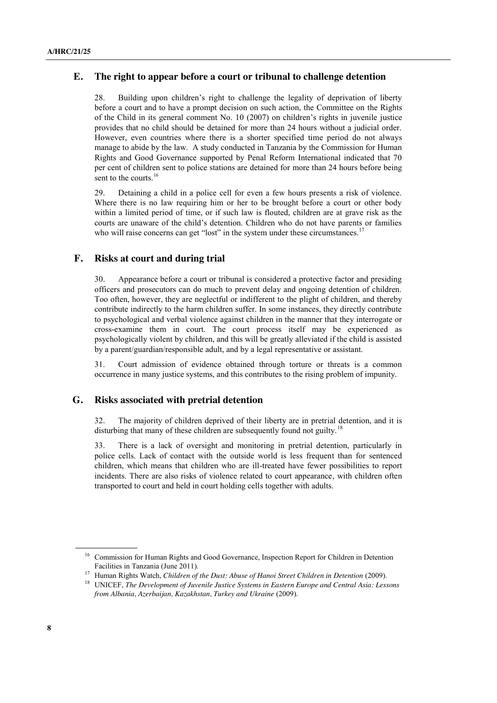### **E. The right to appear before a court or tribunal to challenge detention**

28. Building upon children's right to challenge the legality of deprivation of liberty before a court and to have a prompt decision on such action, the Committee on the Rights of the Child in its general comment No. 10 (2007) on children's rights in juvenile justice provides that no child should be detained for more than 24 hours without a judicial order. However, even countries where there is a shorter specified time period do not always manage to abide by the law. A study conducted in Tanzania by the Commission for Human Rights and Good Governance supported by Penal Reform International indicated that 70 per cent of children sent to police stations are detained for more than 24 hours before being sent to the courts.<sup>16</sup>

29. Detaining a child in a police cell for even a few hours presents a risk of violence. Where there is no law requiring him or her to be brought before a court or other body within a limited period of time, or if such law is flouted, children are at grave risk as the courts are unaware of the child's detention. Children who do not have parents or families who will raise concerns can get "lost" in the system under these circumstances.<sup>17</sup>

#### **F. Risks at court and during trial**

30. Appearance before a court or tribunal is considered a protective factor and presiding officers and prosecutors can do much to prevent delay and ongoing detention of children. Too often, however, they are neglectful or indifferent to the plight of children, and thereby contribute indirectly to the harm children suffer. In some instances, they directly contribute to psychological and verbal violence against children in the manner that they interrogate or cross-examine them in court. The court process itself may be experienced as psychologically violent by children, and this will be greatly alleviated if the child is assisted by a parent/guardian/responsible adult, and by a legal representative or assistant.

31. Court admission of evidence obtained through torture or threats is a common occurrence in many justice systems, and this contributes to the rising problem of impunity.

### **G. Risks associated with pretrial detention**

32. The majority of children deprived of their liberty are in pretrial detention, and it is disturbing that many of these children are subsequently found not guilty.<sup>18</sup>

33. There is a lack of oversight and monitoring in pretrial detention, particularly in police cells. Lack of contact with the outside world is less frequent than for sentenced children, which means that children who are ill-treated have fewer possibilities to report incidents. There are also risks of violence related to court appearance, with children often transported to court and held in court holding cells together with adults.

<sup>&</sup>lt;sup>16</sup> Commission for Human Rights and Good Governance, Inspection Report for Children in Detention Facilities in Tanzania (June 2011).

<sup>&</sup>lt;sup>17</sup> Human Rights Watch, *Children of the Dust: Abuse of Hanoi Street Children in Detention (2009).*<br><sup>18</sup> UNICEF, *The Development of Juvenile Justice Systems in Eastern Europe and Central Asia: Lessons from Albania, Azerbaijan, Kazakhstan, Turkey and Ukraine* (2009).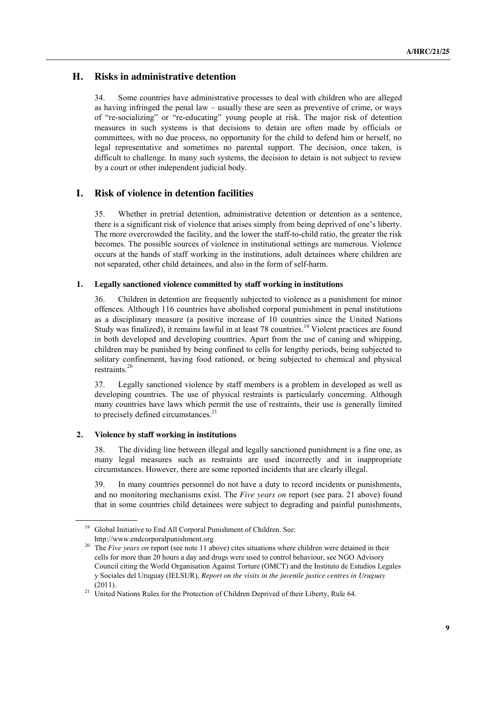## **H. Risks in administrative detention**

34. Some countries have administrative processes to deal with children who are alleged as having infringed the penal law – usually these are seen as preventive of crime, or ways of "re-socializing" or "re-educating" young people at risk. The major risk of detention measures in such systems is that decisions to detain are often made by officials or committees, with no due process, no opportunity for the child to defend him or herself, no legal representative and sometimes no parental support. The decision, once taken, is difficult to challenge. In many such systems, the decision to detain is not subject to review by a court or other independent judicial body.

## **I. Risk of violence in detention facilities**

35. Whether in pretrial detention, administrative detention or detention as a sentence, there is a significant risk of violence that arises simply from being deprived of one's liberty. The more overcrowded the facility, and the lower the staff-to-child ratio, the greater the risk becomes. The possible sources of violence in institutional settings are numerous. Violence occurs at the hands of staff working in the institutions, adult detainees where children are not separated, other child detainees, and also in the form of self-harm.

#### **1. Legally sanctioned violence committed by staff working in institutions**

36. Children in detention are frequently subjected to violence as a punishment for minor offences. Although 116 countries have abolished corporal punishment in penal institutions as a disciplinary measure (a positive increase of 10 countries since the United Nations Study was finalized), it remains lawful in at least 78 countries.<sup>19</sup> Violent practices are found in both developed and developing countries. Apart from the use of caning and whipping, children may be punished by being confined to cells for lengthy periods, being subjected to solitary confinement, having food rationed, or being subjected to chemical and physical restraints.<sup>20</sup>

37. Legally sanctioned violence by staff members is a problem in developed as well as developing countries. The use of physical restraints is particularly concerning. Although many countries have laws which permit the use of restraints, their use is generally limited to precisely defined circumstances. $2<sup>1</sup>$ 

#### **2. Violence by staff working in institutions**

38. The dividing line between illegal and legally sanctioned punishment is a fine one, as many legal measures such as restraints are used incorrectly and in inappropriate circumstances. However, there are some reported incidents that are clearly illegal.

39. In many countries personnel do not have a duty to record incidents or punishments, and no monitoring mechanisms exist. The *Five years on* report (see para. 21 above) found that in some countries child detainees were subject to degrading and painful punishments,

<sup>&</sup>lt;sup>19</sup> Global Initiative to End All Corporal Punishment of Children. See: [http://www.endcorporalpunishment.org](http://www.endcorporalpunishment.org/)

<sup>&</sup>lt;sup>20</sup> The *Five years on* report (see note 11 above) cites situations where children were detained in their cells for more than 20 hours a day and drugs were used to control behaviour, see NGO Advisory Council citing the World Organisation Against Torture (OMCT) and the Instituto de Estudios Legales y Sociales del Uruguay (IELSUR), *Report on the visits in the juvenile justice centres in Uruguay*  (2011)*.* 

<sup>&</sup>lt;sup>21</sup> United Nations Rules for the Protection of Children Deprived of their Liberty, Rule 64.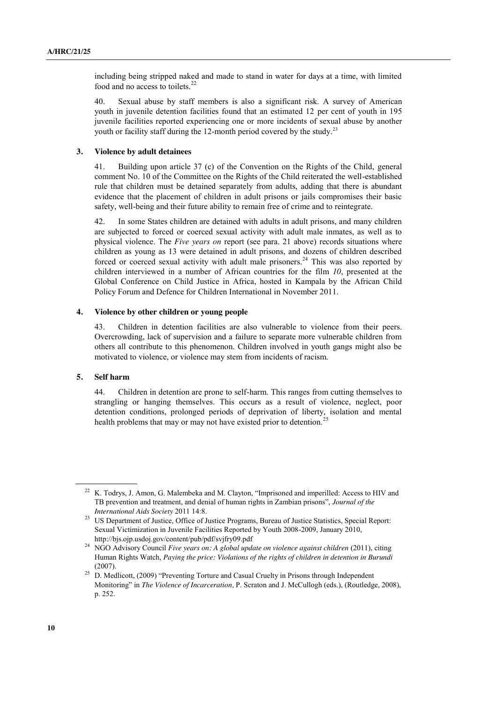including being stripped naked and made to stand in water for days at a time, with limited food and no access to toilets.<sup>22</sup>

40. Sexual abuse by staff members is also a significant risk. A survey of American youth in juvenile detention facilities found that an estimated 12 per cent of youth in 195 juvenile facilities reported experiencing one or more incidents of sexual abuse by another youth or facility staff during the 12-month period covered by the study.<sup>23</sup>

#### **3. Violence by adult detainees**

41. Building upon article 37 (c) of the Convention on the Rights of the Child, general comment No. 10 of the Committee on the Rights of the Child reiterated the well-established rule that children must be detained separately from adults, adding that there is abundant evidence that the placement of children in adult prisons or jails compromises their basic safety, well-being and their future ability to remain free of crime and to reintegrate.

42. In some States children are detained with adults in adult prisons, and many children are subjected to forced or coerced sexual activity with adult male inmates, as well as to physical violence. The *Five years on* report (see para. 21 above) records situations where children as young as 13 were detained in adult prisons, and dozens of children described forced or coerced sexual activity with adult male prisoners.<sup>24</sup> This was also reported by children interviewed in a number of African countries for the film *10*, presented at the Global Conference on Child Justice in Africa, hosted in Kampala by the African Child Policy Forum and Defence for Children International in November 2011.

#### **4. Violence by other children or young people**

43. Children in detention facilities are also vulnerable to violence from their peers. Overcrowding, lack of supervision and a failure to separate more vulnerable children from others all contribute to this phenomenon. Children involved in youth gangs might also be motivated to violence, or violence may stem from incidents of racism.

#### **5. Self harm**

44. Children in detention are prone to self-harm. This ranges from cutting themselves to strangling or hanging themselves. This occurs as a result of violence, neglect, poor detention conditions, prolonged periods of deprivation of liberty, isolation and mental health problems that may or may not have existed prior to detention.

<sup>&</sup>lt;sup>22</sup> K. Todrvs. J. Amon, G. Malembeka and M. Clayton, "Imprisoned and imperilled: Access to HIV and TB prevention and treatment, and denial of human rights in Zambian prisons", *Journal of the International Aids Society* 2011 14:8.

<sup>&</sup>lt;sup>23</sup> US Department of Justice, Office of Justice Programs, Bureau of Justice Statistics, Special Report: Sexual Victimization in Juvenile Facilities Reported by Youth 2008-2009, January 2010, http://bjs.ojp.usdoj.gov/content/pub/pdf/svjfry09.pdf

<sup>24</sup> NGO Advisory Council *Five years on: A global update on violence against children* (2011), citing Human Rights Watch, *Paying the price: Violations of the rights of children in detention in Burundi*  (2007).

<sup>&</sup>lt;sup>25</sup> D. Medlicott, (2009) "Preventing Torture and Casual Cruelty in Prisons through Independent Monitoring" in *The Violence of Incarceration,* P. Scraton and J. McCullogh (eds.), (Routledge, 2008), p. 252.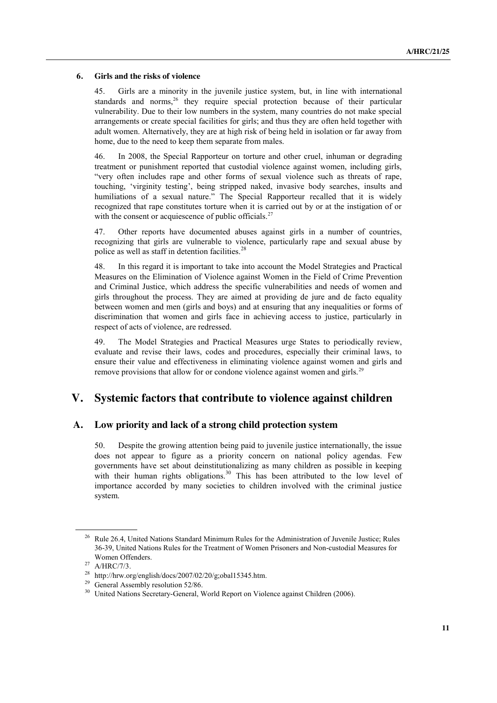#### **6. Girls and the risks of violence**

45. Girls are a minority in the juvenile justice system, but, in line with international standards and norms,<sup>26</sup> they require special protection because of their particular vulnerability. Due to their low numbers in the system, many countries do not make special arrangements or create special facilities for girls; and thus they are often held together with adult women. Alternatively, they are at high risk of being held in isolation or far away from home, due to the need to keep them separate from males.

46. In 2008, the Special Rapporteur on torture and other cruel, inhuman or degrading treatment or punishment reported that custodial violence against women, including girls, "very often includes rape and other forms of sexual violence such as threats of rape, touching, 'virginity testing', being stripped naked, invasive body searches, insults and humiliations of a sexual nature." The Special Rapporteur recalled that it is widely recognized that rape constitutes torture when it is carried out by or at the instigation of or with the consent or acquiescence of public officials.<sup>27</sup>

47. Other reports have documented abuses against girls in a number of countries, recognizing that girls are vulnerable to violence, particularly rape and sexual abuse by police as well as staff in detention facilities.<sup>28</sup>

48. In this regard it is important to take into account the Model Strategies and Practical Measures on the Elimination of Violence against Women in the Field of Crime Prevention and Criminal Justice, which address the specific vulnerabilities and needs of women and girls throughout the process. They are aimed at providing de jure and de facto equality between women and men (girls and boys) and at ensuring that any inequalities or forms of discrimination that women and girls face in achieving access to justice, particularly in respect of acts of violence, are redressed.

49. The Model Strategies and Practical Measures urge States to periodically review, evaluate and revise their laws, codes and procedures, especially their criminal laws, to ensure their value and effectiveness in eliminating violence against women and girls and remove provisions that allow for or condone violence against women and girls.<sup>29</sup>

# **V. Systemic factors that contribute to violence against children**

### **A. Low priority and lack of a strong child protection system**

50. Despite the growing attention being paid to juvenile justice internationally, the issue does not appear to figure as a priority concern on national policy agendas. Few governments have set about deinstitutionalizing as many children as possible in keeping with their human rights obligations.<sup>30</sup> This has been attributed to the low level of importance accorded by many societies to children involved with the criminal justice system.

<sup>&</sup>lt;sup>26</sup> Rule 26.4, United Nations Standard Minimum Rules for the Administration of Juvenile Justice; Rules 36-39, United Nations Rules for the Treatment of Women Prisoners and Non-custodial Measures for Women Offenders.

 $27$  A/HRC/7/3.

<sup>&</sup>lt;sup>28</sup> [http://hrw.org/english/docs/2007/02/20/g;obal15345.htm.](http://hrw.org/english/docs/2007/02/20/g;obal15345.htm)<br><sup>29</sup> General Assembly resolution 52/86.

<sup>&</sup>lt;sup>30</sup> United Nations Secretary-General, World Report on Violence against Children (2006).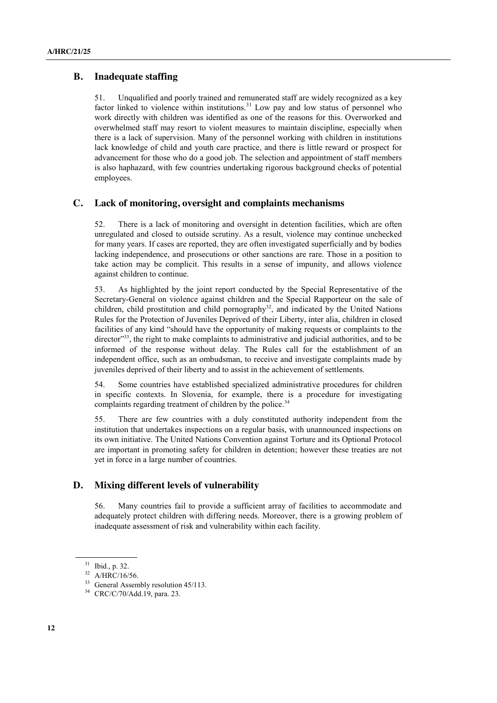### **B. Inadequate staffing**

51. Unqualified and poorly trained and remunerated staff are widely recognized as a key factor linked to violence within institutions.<sup>31</sup> Low pay and low status of personnel who work directly with children was identified as one of the reasons for this. Overworked and overwhelmed staff may resort to violent measures to maintain discipline, especially when there is a lack of supervision. Many of the personnel working with children in institutions lack knowledge of child and youth care practice, and there is little reward or prospect for advancement for those who do a good job. The selection and appointment of staff members is also haphazard, with few countries undertaking rigorous background checks of potential employees.

### **C. Lack of monitoring, oversight and complaints mechanisms**

52. There is a lack of monitoring and oversight in detention facilities, which are often unregulated and closed to outside scrutiny. As a result, violence may continue unchecked for many years. If cases are reported, they are often investigated superficially and by bodies lacking independence, and prosecutions or other sanctions are rare. Those in a position to take action may be complicit. This results in a sense of impunity, and allows violence against children to continue.

53. As highlighted by the joint report conducted by the Special Representative of the Secretary-General on violence against children and the Special Rapporteur on the sale of children, child prostitution and child pornography<sup>32</sup>, and indicated by the United Nations Rules for the Protection of Juveniles Deprived of their Liberty, inter alia, children in closed facilities of any kind "should have the opportunity of making requests or complaints to the director"<sup>33</sup>, the right to make complaints to administrative and judicial authorities, and to be informed of the response without delay. The Rules call for the establishment of an independent office, such as an ombudsman, to receive and investigate complaints made by juveniles deprived of their liberty and to assist in the achievement of settlements.

54. Some countries have established specialized administrative procedures for children in specific contexts. In Slovenia, for example, there is a procedure for investigating complaints regarding treatment of children by the police.<sup>34</sup>

55. There are few countries with a duly constituted authority independent from the institution that undertakes inspections on a regular basis, with unannounced inspections on its own initiative. The United Nations Convention against Torture and its Optional Protocol are important in promoting safety for children in detention; however these treaties are not yet in force in a large number of countries.

### **D. Mixing different levels of vulnerability**

56. Many countries fail to provide a sufficient array of facilities to accommodate and adequately protect children with differing needs. Moreover, there is a growing problem of inadequate assessment of risk and vulnerability within each facility.

<sup>31</sup> Ibid., p. 32.

<sup>32</sup> A/HRC/16/56.

<sup>&</sup>lt;sup>33</sup> General Assembly resolution 45/113.

<sup>34</sup> CRC/C/70/Add.19, para. 23.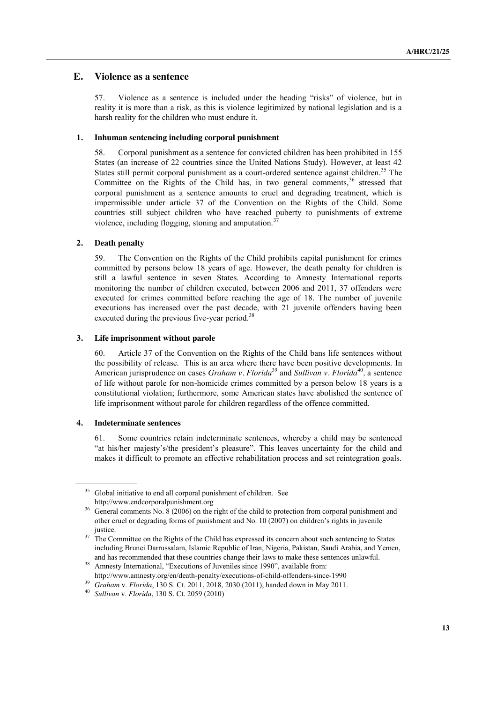### **E. Violence as a sentence**

57. Violence as a sentence is included under the heading "risks" of violence, but in reality it is more than a risk, as this is violence legitimized by national legislation and is a harsh reality for the children who must endure it.

#### **1. Inhuman sentencing including corporal punishment**

58. Corporal punishment as a sentence for convicted children has been prohibited in 155 States (an increase of 22 countries since the United Nations Study). However, at least 42 States still permit corporal punishment as a court-ordered sentence against children.<sup>35</sup> The Committee on the Rights of the Child has, in two general comments,<sup>36</sup> stressed that corporal punishment as a sentence amounts to cruel and degrading treatment, which is impermissible under article 37 of the Convention on the Rights of the Child. Some countries still subject children who have reached puberty to punishments of extreme violence, including flogging, stoning and amputation.<sup>3</sup>

#### **2. Death penalty**

59. The Convention on the Rights of the Child prohibits capital punishment for crimes committed by persons below 18 years of age. However, the death penalty for children is still a lawful sentence in seven States. According to Amnesty International reports monitoring the number of children executed, between 2006 and 2011, 37 offenders were executed for crimes committed before reaching the age of 18. The number of juvenile executions has increased over the past decade, with 21 juvenile offenders having been executed during the previous five-year period.<sup>38</sup>

#### **3. Life imprisonment without parole**

60. Article 37 of the Convention on the Rights of the Child bans life sentences without the possibility of release. This is an area where there have been positive developments. In American jurisprudence on cases *Graham v. Florida*<sup>39</sup> and *Sullivan v. Florida*<sup>40</sup>, a sentence of life without parole for non-homicide crimes committed by a person below 18 years is a constitutional violation; furthermore, some American states have abolished the sentence of life imprisonment without parole for children regardless of the offence committed.

#### **4. Indeterminate sentences**

61. Some countries retain indeterminate sentences, whereby a child may be sentenced "at his/her majesty's/the president's pleasure". This leaves uncertainty for the child and makes it difficult to promote an effective rehabilitation process and set reintegration goals.

<sup>&</sup>lt;sup>35</sup> Global initiative to end all corporal punishment of children. See [http://www.endcorporalpunishment.org](http://www.endcorporalpunishment.org/)

<sup>&</sup>lt;sup>36</sup> General comments No. 8 (2006) on the right of the child to protection from corporal punishment and [other cruel or degrading forms of punishment](http://tb.ohchr.org/default.aspx?Symbol=CRC/C/GC/8) and No. 10 (2007) on [children's rights in juvenile](http://www2.ohchr.org/english/bodies/crc/docs/GC10_en.doc)  [justice.](http://www2.ohchr.org/english/bodies/crc/docs/GC10_en.doc)

<sup>&</sup>lt;sup>37</sup> The Committee on the Rights of the Child has expressed its concern about such sentencing to States including Brunei Darrussalam, Islamic Republic of Iran, Nigeria, Pakistan, Saudi Arabia, and Yemen, and has recommended that these countries change their laws to make these sentences unlawful.

<sup>&</sup>lt;sup>38</sup> Amnesty International, "Executions of Juveniles since 1990", available from: <http://www.amnesty.org/en/death-penalty/executions-of-child-offenders-since-1990>

<sup>39</sup> *Graham* v. *Florida*, 130 S. Ct. 2011, 2018, 2030 (2011), handed down in May 2011.

<sup>40</sup> *Sullivan* v. *Florida*, 130 S. Ct. 2059 (2010)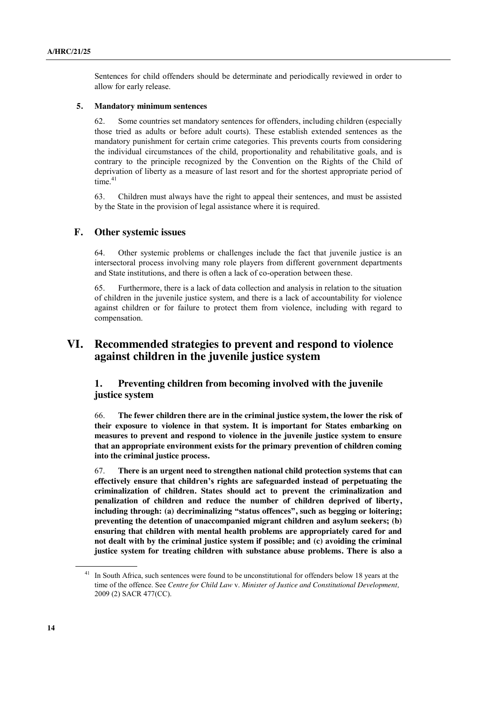Sentences for child offenders should be determinate and periodically reviewed in order to allow for early release.

#### **5. Mandatory minimum sentences**

62. Some countries set mandatory sentences for offenders, including children (especially those tried as adults or before adult courts). These establish extended sentences as the mandatory punishment for certain crime categories. This prevents courts from considering the individual circumstances of the child, proportionality and rehabilitative goals, and is contrary to the principle recognized by the Convention on the Rights of the Child of deprivation of liberty as a measure of last resort and for the shortest appropriate period of time.<sup>41</sup>

63. Children must always have the right to appeal their sentences, and must be assisted by the State in the provision of legal assistance where it is required.

### **F. Other systemic issues**

64. Other systemic problems or challenges include the fact that juvenile justice is an intersectoral process involving many role players from different government departments and State institutions, and there is often a lack of co-operation between these.

65. Furthermore, there is a lack of data collection and analysis in relation to the situation of children in the juvenile justice system, and there is a lack of accountability for violence against children or for failure to protect them from violence, including with regard to compensation.

# **VI. Recommended strategies to prevent and respond to violence against children in the juvenile justice system**

## **1. Preventing children from becoming involved with the juvenile justice system**

66. **The fewer children there are in the criminal justice system, the lower the risk of their exposure to violence in that system. It is important for States embarking on measures to prevent and respond to violence in the juvenile justice system to ensure that an appropriate environment exists for the primary prevention of children coming into the criminal justice process.** 

67. **There is an urgent need to strengthen national child protection systems that can effectively ensure that children's rights are safeguarded instead of perpetuating the criminalization of children. States should act to prevent the criminalization and penalization of children and reduce the number of children deprived of liberty, including through: (a) decriminalizing "status offences", such as begging or loitering; preventing the detention of unaccompanied migrant children and asylum seekers; (b) ensuring that children with mental health problems are appropriately cared for and not dealt with by the criminal justice system if possible; and (c) avoiding the criminal justice system for treating children with substance abuse problems. There is also a** 

<sup>&</sup>lt;sup>41</sup> In South Africa, such sentences were found to be unconstitutional for offenders below 18 years at the time of the offence. See *Centre for Child Law* v. *Minister of Justice and Constitutional Development,* 2009 (2) SACR 477(CC).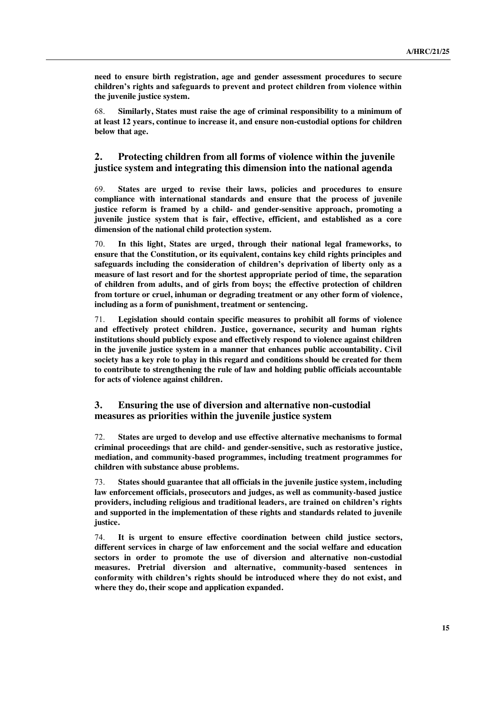**need to ensure birth registration, age and gender assessment procedures to secure children's rights and safeguards to prevent and protect children from violence within the juvenile justice system.**

68. **Similarly, States must raise the age of criminal responsibility to a minimum of at least 12 years, continue to increase it, and ensure non-custodial options for children below that age.** 

### **2. Protecting children from all forms of violence within the juvenile justice system and integrating this dimension into the national agenda**

69. **States are urged to revise their laws, policies and procedures to ensure compliance with international standards and ensure that the process of juvenile justice reform is framed by a child- and gender-sensitive approach, promoting a juvenile justice system that is fair, effective, efficient, and established as a core dimension of the national child protection system.**

70. **In this light, States are urged, through their national legal frameworks, to ensure that the Constitution, or its equivalent, contains key child rights principles and safeguards including the consideration of children's deprivation of liberty only as a measure of last resort and for the shortest appropriate period of time, the separation of children from adults, and of girls from boys; the effective protection of children from torture or cruel, inhuman or degrading treatment or any other form of violence, including as a form of punishment, treatment or sentencing.** 

71. **Legislation should contain specific measures to prohibit all forms of violence and effectively protect children. Justice, governance, security and human rights institutions should publicly expose and effectively respond to violence against children in the juvenile justice system in a manner that enhances public accountability. Civil society has a key role to play in this regard and conditions should be created for them to contribute to strengthening the rule of law and holding public officials accountable for acts of violence against children.**

### **3. Ensuring the use of diversion and alternative non-custodial measures as priorities within the juvenile justice system**

72. **States are urged to develop and use effective alternative mechanisms to formal criminal proceedings that are child- and gender-sensitive, such as restorative justice, mediation, and community-based programmes, including treatment programmes for children with substance abuse problems.** 

73. **States should guarantee that all officials in the juvenile justice system, including law enforcement officials, prosecutors and judges, as well as community-based justice providers, including religious and traditional leaders, are trained on children's rights and supported in the implementation of these rights and standards related to juvenile justice.**

74. **It is urgent to ensure effective coordination between child justice sectors, different services in charge of law enforcement and the social welfare and education sectors in order to promote the use of diversion and alternative non-custodial measures. Pretrial diversion and alternative, community-based sentences in conformity with children's rights should be introduced where they do not exist, and where they do, their scope and application expanded.**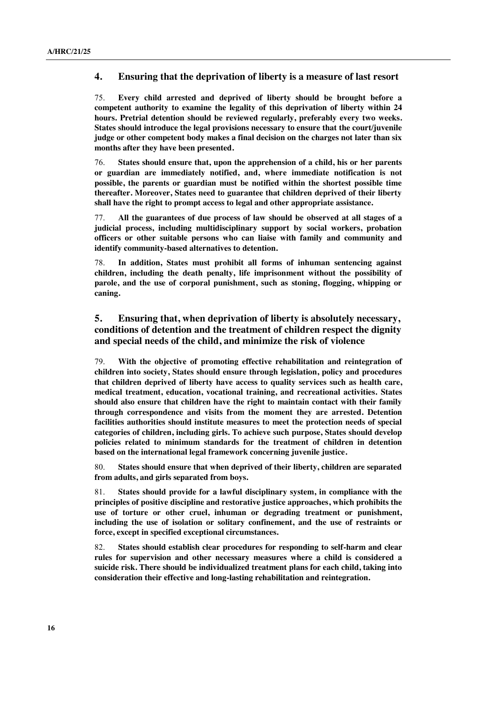### **4. Ensuring that the deprivation of liberty is a measure of last resort**

75. **Every child arrested and deprived of liberty should be brought before a competent authority to examine the legality of this deprivation of liberty within 24 hours. Pretrial detention should be reviewed regularly, preferably every two weeks. States should introduce the legal provisions necessary to ensure that the court/juvenile judge or other competent body makes a final decision on the charges not later than six months after they have been presented.**

76. **States should ensure that, upon the apprehension of a child, his or her parents or guardian are immediately notified, and, where immediate notification is not possible, the parents or guardian must be notified within the shortest possible time thereafter. Moreover, States need to guarantee that children deprived of their liberty shall have the right to prompt access to legal and other appropriate assistance.**

77. **All the guarantees of due process of law should be observed at all stages of a judicial process, including multidisciplinary support by social workers, probation officers or other suitable persons who can liaise with family and community and identify community-based alternatives to detention.** 

78. **In addition, States must prohibit all forms of inhuman sentencing against children, including the death penalty, life imprisonment without the possibility of parole, and the use of corporal punishment, such as stoning, flogging, whipping or caning.**

## **5. Ensuring that, when deprivation of liberty is absolutely necessary, conditions of detention and the treatment of children respect the dignity and special needs of the child, and minimize the risk of violence**

79. **With the objective of promoting effective rehabilitation and reintegration of children into society, States should ensure through legislation, policy and procedures that children deprived of liberty have access to quality services such as health care, medical treatment, education, vocational training, and recreational activities. States should also ensure that children have the right to maintain contact with their family through correspondence and visits from the moment they are arrested. Detention facilities authorities should institute measures to meet the protection needs of special categories of children, including girls. To achieve such purpose, States should develop policies related to minimum standards for the treatment of children in detention based on the international legal framework concerning juvenile justice.**

80. **States should ensure that when deprived of their liberty, children are separated from adults, and girls separated from boys.** 

81. **States should provide for a lawful disciplinary system, in compliance with the principles of positive discipline and restorative justice approaches, which prohibits the use of torture or other cruel, inhuman or degrading treatment or punishment, including the use of isolation or solitary confinement, and the use of restraints or force, except in specified exceptional circumstances.** 

82. **States should establish clear procedures for responding to self-harm and clear rules for supervision and other necessary measures where a child is considered a suicide risk. There should be individualized treatment plans for each child, taking into consideration their effective and long-lasting rehabilitation and reintegration.**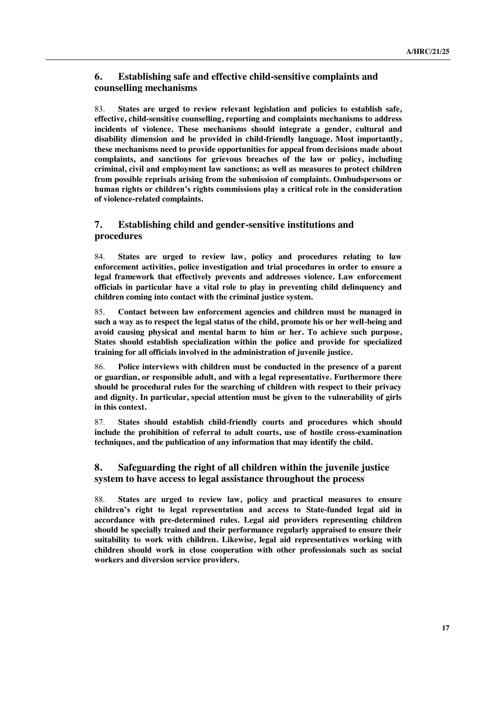## **6. Establishing safe and effective child-sensitive complaints and counselling mechanisms**

83. **States are urged to review relevant legislation and policies to establish safe, effective, child-sensitive counselling, reporting and complaints mechanisms to address incidents of violence. These mechanisms should integrate a gender, cultural and disability dimension and be provided in child-friendly language. Most importantly, these mechanisms need to provide opportunities for appeal from decisions made about complaints, and sanctions for grievous breaches of the law or policy, including criminal, civil and employment law sanctions; as well as measures to protect children from possible reprisals arising from the submission of complaints. Ombudspersons or human rights or children's rights commissions play a critical role in the consideration of violence-related complaints.**

## **7. Establishing child and gender-sensitive institutions and procedures**

84. **States are urged to review law, policy and procedures relating to law enforcement activities, police investigation and trial procedures in order to ensure a legal framework that effectively prevents and addresses violence. Law enforcement officials in particular have a vital role to play in preventing child delinquency and children coming into contact with the criminal justice system.** 

85. **Contact between law enforcement agencies and children must be managed in such a way as to respect the legal status of the child, promote his or her well-being and avoid causing physical and mental harm to him or her. To achieve such purpose, States should establish specialization within the police and provide for specialized training for all officials involved in the administration of juvenile justice.**

86. **Police interviews with children must be conducted in the presence of a parent or guardian, or responsible adult, and with a legal representative. Furthermore there should be procedural rules for the searching of children with respect to their privacy and dignity. In particular, special attention must be given to the vulnerability of girls in this context.** 

87. **States should establish child-friendly courts and procedures which should include the prohibition of referral to adult courts, use of hostile cross-examination techniques, and the publication of any information that may identify the child.**

### **8. Safeguarding the right of all children within the juvenile justice system to have access to legal assistance throughout the process**

88. **States are urged to review law, policy and practical measures to ensure children's right to legal representation and access to State-funded legal aid in accordance with pre-determined rules. Legal aid providers representing children should be specially trained and their performance regularly appraised to ensure their suitability to work with children. Likewise, legal aid representatives working with children should work in close cooperation with other professionals such as social workers and diversion service providers.**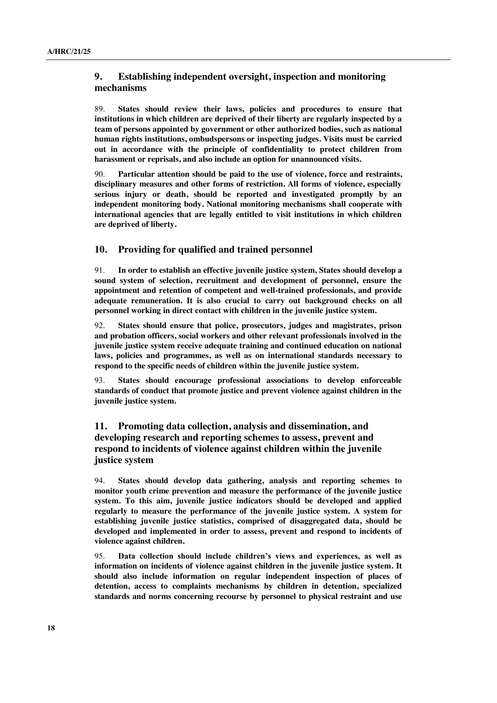## **9. Establishing independent oversight, inspection and monitoring mechanisms**

89. **States should review their laws, policies and procedures to ensure that institutions in which children are deprived of their liberty are regularly inspected by a team of persons appointed by government or other authorized bodies, such as national human rights institutions, ombudspersons or inspecting judges. Visits must be carried out in accordance with the principle of confidentiality to protect children from harassment or reprisals, and also include an option for unannounced visits.** 

90. **Particular attention should be paid to the use of violence, force and restraints, disciplinary measures and other forms of restriction. All forms of violence, especially serious injury or death, should be reported and investigated promptly by an independent monitoring body. National monitoring mechanisms shall cooperate with international agencies that are legally entitled to visit institutions in which children are deprived of liberty.**

### **10. Providing for qualified and trained personnel**

91. **In order to establish an effective juvenile justice system, States should develop a sound system of selection, recruitment and development of personnel, ensure the appointment and retention of competent and well-trained professionals, and provide adequate remuneration. It is also crucial to carry out background checks on all personnel working in direct contact with children in the juvenile justice system.**

92. **States should ensure that police, prosecutors, judges and magistrates, prison and probation officers, social workers and other relevant professionals involved in the juvenile justice system receive adequate training and continued education on national laws, policies and programmes, as well as on international standards necessary to respond to the specific needs of children within the juvenile justice system.**

93. **States should encourage professional associations to develop enforceable standards of conduct that promote justice and prevent violence against children in the juvenile justice system.** 

## **11. Promoting data collection, analysis and dissemination, and developing research and reporting schemes to assess, prevent and respond to incidents of violence against children within the juvenile justice system**

94. **States should develop data gathering, analysis and reporting schemes to monitor youth crime prevention and measure the performance of the juvenile justice system. To this aim, juvenile justice indicators should be developed and applied regularly to measure the performance of the juvenile justice system. A system for establishing juvenile justice statistics, comprised of disaggregated data, should be developed and implemented in order to assess, prevent and respond to incidents of violence against children.** 

95. **Data collection should include children's views and experiences, as well as information on incidents of violence against children in the juvenile justice system. It should also include information on regular independent inspection of places of detention, access to complaints mechanisms by children in detention, specialized standards and norms concerning recourse by personnel to physical restraint and use**